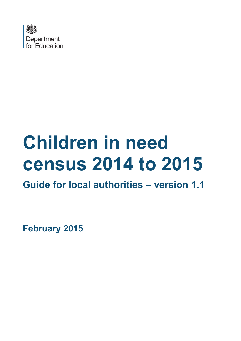

# **Children in need census 2014 to 2015**

**Guide for local authorities – version 1.1**

**February 2015**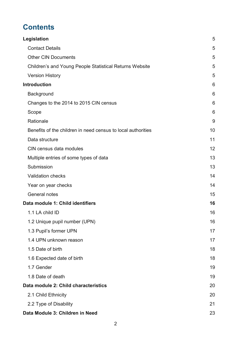# **Contents**

| Legislation                                                  | 5  |
|--------------------------------------------------------------|----|
| <b>Contact Details</b>                                       | 5  |
| <b>Other CIN Documents</b>                                   | 5  |
| Children's and Young People Statistical Returns Website      | 5  |
| <b>Version History</b>                                       | 5  |
| <b>Introduction</b>                                          | 6  |
| Background                                                   | 6  |
| Changes to the 2014 to 2015 CIN census                       | 6  |
| Scope                                                        | 6  |
| Rationale                                                    | 9  |
| Benefits of the children in need census to local authorities | 10 |
| Data structure                                               | 11 |
| CIN census data modules                                      | 12 |
| Multiple entries of some types of data                       | 13 |
| Submission                                                   | 13 |
| <b>Validation checks</b>                                     | 14 |
| Year on year checks                                          | 14 |
| General notes                                                | 15 |
| Data module 1: Child identifiers                             | 16 |
| 1.1 LA child ID                                              | 16 |
| 1.2 Unique pupil number (UPN)                                | 16 |
| 1.3 Pupil's former UPN                                       | 17 |
| 1.4 UPN unknown reason                                       | 17 |
| 1.5 Date of birth                                            | 18 |
| 1.6 Expected date of birth                                   | 18 |
| 1.7 Gender                                                   | 19 |
| 1.8 Date of death                                            | 19 |
| Data module 2: Child characteristics                         | 20 |
| 2.1 Child Ethnicity                                          | 20 |
| 2.2 Type of Disability                                       | 21 |
| Data Module 3: Children in Need                              | 23 |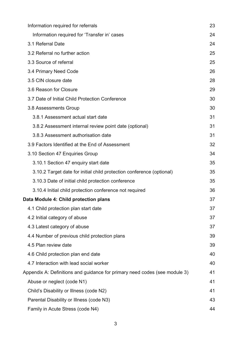| Information required for referrals                                         | 23 |
|----------------------------------------------------------------------------|----|
| Information required for 'Transfer in' cases                               | 24 |
| 3.1 Referral Date                                                          | 24 |
| 3.2 Referral no further action                                             | 25 |
| 3.3 Source of referral                                                     | 25 |
| 3.4 Primary Need Code                                                      | 26 |
| 3.5 CIN closure date                                                       | 28 |
| 3.6 Reason for Closure                                                     | 29 |
| 3.7 Date of Initial Child Protection Conference                            | 30 |
| 3.8 Assessments Group                                                      | 30 |
| 3.8.1 Assessment actual start date                                         | 31 |
| 3.8.2 Assessment internal review point date (optional)                     | 31 |
| 3.8.3 Assessment authorisation date                                        | 31 |
| 3.9 Factors Identified at the End of Assessment                            | 32 |
| 3.10 Section 47 Enquiries Group                                            | 34 |
| 3.10.1 Section 47 enquiry start date                                       | 35 |
| 3.10.2 Target date for initial child protection conference (optional)      | 35 |
| 3.10.3 Date of initial child protection conference                         | 35 |
| 3.10.4 Initial child protection conference not required                    | 36 |
| Data Module 4: Child protection plans                                      | 37 |
| 4.1 Child protection plan start date                                       | 37 |
| 4.2 Initial category of abuse                                              | 37 |
| 4.3 Latest category of abuse                                               | 37 |
| 4.4 Number of previous child protection plans                              | 39 |
| 4.5 Plan review date                                                       | 39 |
| 4.6 Child protection plan end date                                         | 40 |
| 4.7 Interaction with lead social worker                                    | 40 |
| Appendix A: Definitions and guidance for primary need codes (see module 3) | 41 |
| Abuse or neglect (code N1)                                                 | 41 |
| Child's Disability or Illness (code N2)                                    | 41 |
| Parental Disability or Illness (code N3)                                   | 43 |
| Family in Acute Stress (code N4)                                           | 44 |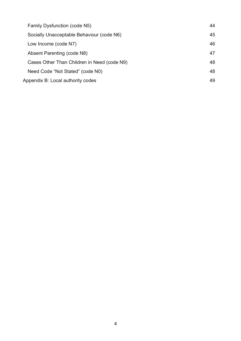| Family Dysfunction (code N5)                | 44 |
|---------------------------------------------|----|
| Socially Unacceptable Behaviour (code N6)   | 45 |
| Low Income (code N7)                        | 46 |
| Absent Parenting (code N8)                  | 47 |
| Cases Other Than Children in Need (code N9) | 48 |
| Need Code "Not Stated" (code N0)            | 48 |
| Appendix B: Local authority codes           | 49 |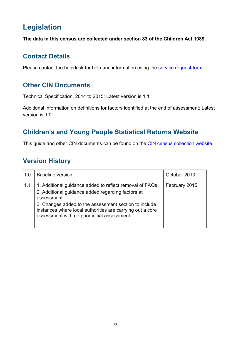# <span id="page-4-0"></span>**Legislation**

**The data in this census are collected under section 83 of the Children Act 1989.** 

# <span id="page-4-1"></span>**Contact Details**

Please contact the helpdesk for help and information using the [service request form](https://www.education.gov.uk/researchandstatistics/stats/requestform)

# <span id="page-4-2"></span>**Other CIN Documents**

Technical Specification, 2014 to 2015: Latest version is 1.1

Additional information on definitions for factors identified at the end of assessment: Latest version is 1.0

# <span id="page-4-3"></span>**Children's and Young People Statistical Returns Website**

This guide and other CIN documents can be found on the [CIN census collection website.](http://www.education.gov.uk/researchandstatistics/statisticalreturns/cincensus/)

# <span id="page-4-4"></span>**Version History**

| 1.0 | <b>Baseline version</b>                                                                                                                                                                                                                                                                            | October 2013  |
|-----|----------------------------------------------------------------------------------------------------------------------------------------------------------------------------------------------------------------------------------------------------------------------------------------------------|---------------|
| 1.1 | 1. Additional guidance added to reflect removal of FAQs.<br>2. Additional guidance added regarding factors at<br>assessment.<br>3. Changes added to the assessment section to include<br>instances where local authorities are carrying out a core<br>assessment with no prior initial assessment. | February 2015 |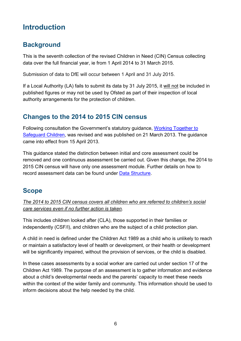# <span id="page-5-0"></span>**Introduction**

# <span id="page-5-1"></span>**Background**

This is the seventh collection of the revised Children in Need (CIN) Census collecting data over the full financial year, ie from 1 April 2014 to 31 March 2015.

Submission of data to DfE will occur between 1 April and 31 July 2015.

If a Local Authority (LA) fails to submit its data by 31 July 2015, it will not be included in published figures or may not be used by Ofsted as part of their inspection of local authority arrangements for the protection of children.

# <span id="page-5-2"></span>**Changes to the 2014 to 2015 CIN census**

Following consultation the Government's statutory guidance, [Working Together to](http://www.education.gov.uk/aboutdfe/statutory/g00213160/working-together-to-safeguard-children)  [Safeguard Children,](http://www.education.gov.uk/aboutdfe/statutory/g00213160/working-together-to-safeguard-children) was revised and was published on 21 March 2013. The guidance came into effect from 15 April 2013.

This guidance stated the distinction between initial and core assessment could be removed and one continuous assessment be carried out. Given this change, the 2014 to 2015 CIN census will have only one assessment module. Further details on how to record assessment data can be found under [Data Structure.](#page-10-0)

# <span id="page-5-3"></span>**Scope**

*The 2014 to 2015 CIN census covers all children who are referred to children's social care services even if no further action is taken*.

This includes children looked after (CLA), those supported in their families or independently (CSF/I), and children who are the subject of a child protection plan.

A child in need is defined under the Children Act 1989 as a child who is unlikely to reach or maintain a satisfactory level of health or development, or their health or development will be significantly impaired, without the provision of services, or the child is disabled.

In these cases assessments by a social worker are carried out under section 17 of the Children Act 1989. The purpose of an assessment is to gather information and evidence about a child's developmental needs and the parents' capacity to meet these needs within the context of the wider family and community. This information should be used to inform decisions about the help needed by the child.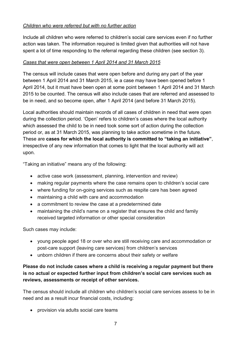## *Children who were referred but with no further action*

Include all children who were referred to children's social care services even if no further action was taken. The information required is limited given that authorities will not have spent a lot of time responding to the referral regarding these children (see section 3).

#### *Cases that were open between 1 April 2014 and 31 March 2015*

The census will include cases that were open before and during any part of the year between 1 April 2014 and 31 March 2015, ie a case may have been opened before 1 April 2014, but it must have been open at some point between 1 April 2014 and 31 March 2015 to be counted. The census will also include cases that are referred and assessed to be in need, and so become open, after 1 April 2014 (and before 31 March 2015).

Local authorities should maintain records of all cases of children in need that were open during the collection period. 'Open' refers to children's cases where the local authority which assessed the child to be in need took some sort of action during the collection period or, as at 31 March 2015, was planning to take action sometime in the future. These are **cases for which the local authority is committed to "taking an initiative"**, irrespective of any new information that comes to light that the local authority will act upon.

"Taking an initiative" means any of the following:

- active case work (assessment, planning, intervention and review)
- making regular payments where the case remains open to children's social care
- where funding for on-going services such as respite care has been agreed
- maintaining a child with care and accommodation
- a commitment to review the case at a predetermined date
- maintaining the child's name on a register that ensures the child and family received targeted information or other special consideration

Such cases may include:

- young people aged 18 or over who are still receiving care and accommodation or post-care support (leaving care services) from children's services
- unborn children if there are concerns about their safety or welfare

## **Please do not include cases where a child is receiving a regular payment but there is no actual or expected further input from children's social care services such as reviews, assessments or receipt of other services.**

The census should include all children who children's social care services assess to be in need and as a result incur financial costs, including:

• provision via adults social care teams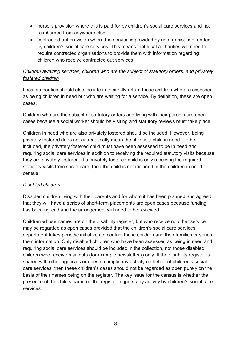- nursery provision where this is paid for by children's social care services and not reimbursed from anywhere else
- contracted out provision where the service is provided by an organisation funded by children's social care services. This means that local authorities will need to require contracted organisations to provide them with information regarding children who receive contracted out services

## *Children awaiting services, children who are the subject of statutory orders, and privately fostered children*

Local authorities should also include in their CIN return those children who are assessed as being children in need but who are waiting for a service. By definition, these are open cases.

Children who are the subject of statutory orders and living with their parents are open cases because a social worker should be visiting and statutory reviews must take place.

Children in need who are also privately fostered should be included. However, being privately fostered does not automatically mean the child is a child in need. To be included, the privately fostered child must have been assessed to be in need and requiring social care services in addition to receiving the required statutory visits because they are privately fostered. If a privately fostered child is only receiving the required statutory visits from social care, then the child is not included in the children in need census.

## *Disabled children*

Disabled children living with their parents and for whom it has been planned and agreed that they will have a series of short-term placements are open cases because funding has been agreed and the arrangement will need to be reviewed.

Children whose names are on the disability register, but who receive no other service may be regarded as open cases provided that the children's social care services department takes periodic initiatives to contact these children and their families or sends them information. Only disabled children who have been assessed as being in need and requiring social care services should be included in the collection, not those disabled children who receive mail outs (for example newsletters) only. If the disability register is shared with other agencies or does not imply any activity on behalf of children's social care services, then these children's cases should not be regarded as open purely on the basis of their names being on the register. The key issue for the census is whether the presence of the child's name on the register triggers any activity by children's social care services.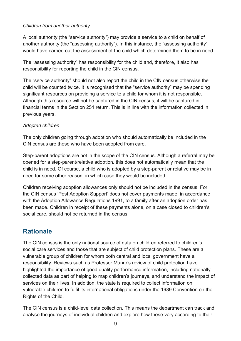#### *Children from another authority*

A local authority (the "service authority") may provide a service to a child on behalf of another authority (the "assessing authority"). In this instance, the "assessing authority" would have carried out the assessment of the child which determined them to be in need.

The "assessing authority" has responsibility for the child and, therefore, it also has responsibility for reporting the child in the CIN census.

The "service authority" should not also report the child in the CIN census otherwise the child will be counted twice. It is recognised that the "service authority" may be spending significant resources on providing a service to a child for whom it is not responsible. Although this resource will not be captured in the CIN census, it will be captured in financial terms in the Section 251 return. This is in line with the information collected in previous years.

## *Adopted children*

The only children going through adoption who should automatically be included in the CIN census are those who have been adopted from care.

Step-parent adoptions are not in the scope of the CIN census. Although a referral may be opened for a step-parent/relative adoption, this does not automatically mean that the child is in need. Of course, a child who is adopted by a step-parent or relative may be in need for some other reason, in which case they would be included.

Children receiving adoption allowances only should not be included in the census. For the CIN census 'Post Adoption Support' does not cover payments made, in accordance with the Adoption Allowance Regulations 1991, to a family after an adoption order has been made. Children in receipt of these payments alone, on a case closed to children's social care, should not be returned in the census.

# <span id="page-8-0"></span>**Rationale**

The CIN census is the only national source of data on children referred to children's social care services and those that are subject of child protection plans. These are a vulnerable group of children for whom both central and local government have a responsibility. Reviews such as Professor Munro's review of child protection have highlighted the importance of good quality performance information, including nationally collected data as part of helping to map children's journeys, and understand the impact of services on their lives. In addition, the state is required to collect information on vulnerable children to fulfil its international obligations under the 1989 Convention on the Rights of the Child.

The CIN census is a child-level data collection. This means the department can track and analyse the journeys of individual children and explore how these vary according to their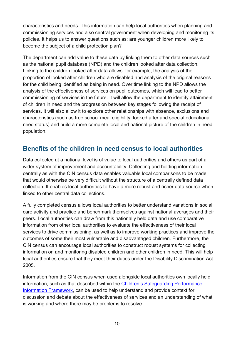characteristics and needs. This information can help local authorities when planning and commissioning services and also central government when developing and monitoring its policies. It helps us to answer questions such as; are younger children more likely to become the subject of a child protection plan?

The department can add value to these data by linking them to other data sources such as the national pupil database (NPD) and the children looked after data collection. Linking to the children looked after data allows, for example, the analysis of the proportion of looked after children who are disabled and analysis of the original reasons for the child being identified as being in need. Over time linking to the NPD allows the analysis of the effectiveness of services on pupil outcomes, which will lead to better commissioning of services in the future. It will allow the department to identify attainment of children in need and the progression between key stages following the receipt of services. It will also allow it to explore other relationships with absence, exclusions and characteristics (such as free school meal eligibility, looked after and special educational need status) and build a more complete local and national picture of the children in need population.

# <span id="page-9-0"></span>**Benefits of the children in need census to local authorities**

Data collected at a national level is of value to local authorities and others as part of a wider system of improvement and accountability. Collecting and holding information centrally as with the CIN census data enables valuable local comparisons to be made that would otherwise be very difficult without the structure of a centrally defined data collection. It enables local authorities to have a more robust and richer data source when linked to other central data collections.

A fully completed census allows local authorities to better understand variations in social care activity and practice and benchmark themselves against national averages and their peers. Local authorities can draw from this nationally held data and use comparative information from other local authorities to evaluate the effectiveness of their local services to drive commissioning, as well as to improve working practices and improve the outcomes of some their most vulnerable and disadvantaged children. Furthermore, the CIN census can encourage local authorities to construct robust systems for collecting information on and monitoring disabled children and other children in need. This will help local authorities ensure that they meet their duties under the Disability Discrimination Act 2005.

Information from the CIN census when used alongside local authorities own locally held information, such as that described within the [Children's Safeguarding Performance](http://webarchive.nationalarchives.gov.uk/20130123124929/http:/www.education.gov.uk/childrenandyoungpeople/safeguardingchildren/protection/b00209694/perf-info)  [Information Framework,](http://webarchive.nationalarchives.gov.uk/20130123124929/http:/www.education.gov.uk/childrenandyoungpeople/safeguardingchildren/protection/b00209694/perf-info) can be used to help understand and provide context for discussion and debate about the effectiveness of services and an understanding of what is working and where there may be problems to resolve.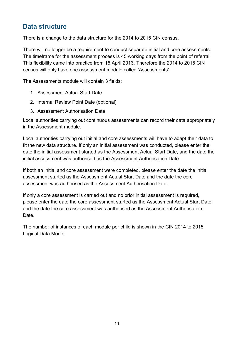# <span id="page-10-0"></span>**Data structure**

There is a change to the data structure for the 2014 to 2015 CIN census.

There will no longer be a requirement to conduct separate initial and core assessments. The timeframe for the assessment process is 45 working days from the point of referral. This flexibility came into practice from 15 April 2013. Therefore the 2014 to 2015 CIN census will only have one assessment module called 'Assessments'.

The Assessments module will contain 3 fields:

- 1. Assessment Actual Start Date
- 2. Internal Review Point Date (optional)
- 3. Assessment Authorisation Date

Local authorities carrying out continuous assessments can record their data appropriately in the Assessment module.

Local authorities carrying out initial and core assessments will have to adapt their data to fit the new data structure. If only an initial assessment was conducted, please enter the date the initial assessment started as the Assessment Actual Start Date, and the date the initial assessment was authorised as the Assessment Authorisation Date.

If both an initial and core assessment were completed, please enter the date the initial assessment started as the Assessment Actual Start Date and the date the core assessment was authorised as the Assessment Authorisation Date.

If only a core assessment is carried out and no prior initial assessment is required, please enter the date the core assessment started as the Assessment Actual Start Date and the date the core assessment was authorised as the Assessment Authorisation Date.

The number of instances of each module per child is shown in the CIN 2014 to 2015 Logical Data Model: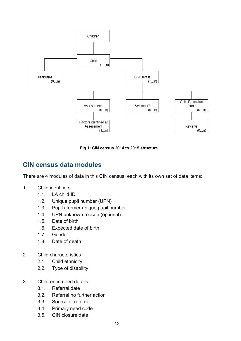

**Fig 1: CIN census 2014 to 2015 structure**

# <span id="page-11-0"></span>**CIN census data modules**

There are 4 modules of data in this CIN census, each with its own set of data items:

- 1. Child identifiers
	- 1.1. LA child ID
	- 1.2. Unique pupil number (UPN)
	- 1.3. Pupils former unique pupil number
	- 1.4. UPN unknown reason (optional)
	- 1.5. Date of birth
	- 1.6. Expected date of birth
	- 1.7. Gender
	- 1.8. Date of death
- 2. Child characteristics
	- 2.1. Child ethnicity
	- 2.2. Type of disability
- 3. Children in need details
	- 3.1. Referral date
	- 3.2. Referral no further action
	- 3.3. Source of referral
	- 3.4. Primary need code
	- 3.5. CIN closure date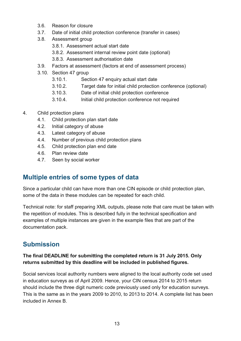- 3.6. Reason for closure
- 3.7. Date of initial child protection conference (transfer in cases)
- 3.8. Assessment group
	- 3.8.1. Assessment actual start date
	- 3.8.2. Assessment internal review point date (optional)
	- 3.8.3. Assessment authorisation date
- 3.9. Factors at assessment (factors at end of assessment process)
- 3.10. Section 47 group
	- 3.10.1. Section 47 enquiry actual start date
	- 3.10.2. Target date for initial child protection conference (optional)
	- 3.10.3. Date of initial child protection conference
	- 3.10.4. Initial child protection conference not required
- 4. Child protection plans
	- 4.1. Child protection plan start date
	- 4.2. Initial category of abuse
	- 4.3. Latest category of abuse
	- 4.4. Number of previous child protection plans
	- 4.5. Child protection plan end date
	- 4.6. Plan review date
	- 4.7. Seen by social worker

# <span id="page-12-0"></span>**Multiple entries of some types of data**

Since a particular child can have more than one CIN episode or child protection plan, some of the data in these modules can be repeated for each child.

Technical note: for staff preparing XML outputs, please note that care must be taken with the repetition of modules. This is described fully in the technical specification and examples of multiple instances are given in the example files that are part of the documentation pack.

# <span id="page-12-1"></span>**Submission**

## **The final DEADLINE for submitting the completed return is 31 July 2015. Only returns submitted by this deadline will be included in published figures.**

Social services local authority numbers were aligned to the local authority code set used in education surveys as of April 2009. Hence, your CIN census 2014 to 2015 return should include the three digit numeric code previously used only for education surveys. This is the same as in the years 2009 to 2010, to 2013 to 2014. A complete list has been included in Annex B.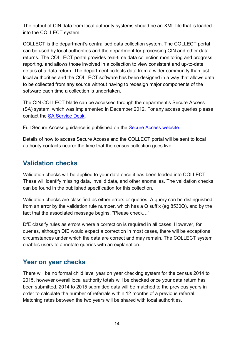The output of CIN data from local authority systems should be an XML file that is loaded into the COLLECT system.

COLLECT is the department's centralised data collection system. The COLLECT portal can be used by local authorities and the department for processing CIN and other data returns. The COLLECT portal provides real-time data collection monitoring and progress reporting, and allows those involved in a collection to view consistent and up-to-date details of a data return. The department collects data from a wider community than just local authorities and the COLLECT software has been designed in a way that allows data to be collected from any source without having to redesign major components of the software each time a collection is undertaken.

The CIN COLLECT blade can be accessed through the department's Secure Access (SA) system, which was implemented in December 2012. For any access queries please contact the [SA Service Desk.](https://www.education.gov.uk/researchandstatistics/datatdatam/secureaccess/service-request-form)

Full Secure Access guidance is published on the [Secure Access website.](https://www.education.gov.uk/researchandstatistics/datatdatam/secureaccess)

Details of how to access Secure Access and the COLLECT portal will be sent to local authority contacts nearer the time that the census collection goes live.

# <span id="page-13-0"></span>**Validation checks**

Validation checks will be applied to your data once it has been loaded into COLLECT. These will identify missing data, invalid data, and other anomalies. The validation checks can be found in the published specification for this collection.

Validation checks are classified as either errors or queries. A query can be distinguished from an error by the validation rule number, which has a Q suffix (eg 8530Q), and by the fact that the associated message begins, "Please check…".

DfE classify rules as errors where a correction is required in all cases. However, for queries, although DfE would expect a correction in most cases, there will be exceptional circumstances under which the data are correct and may remain. The COLLECT system enables users to annotate queries with an explanation.

# <span id="page-13-1"></span>**Year on year checks**

There will be no formal child level year on year checking system for the census 2014 to 2015, however overall local authority totals will be checked once your data return has been submitted. 2014 to 2015 submitted data will be matched to the previous years in order to calculate the number of referrals within 12 months of a previous referral. Matching rates between the two years will be shared with local authorities.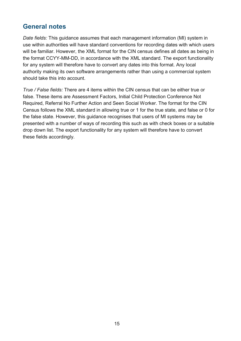# <span id="page-14-0"></span>**General notes**

*Date fields:* This guidance assumes that each management information (MI) system in use within authorities will have standard conventions for recording dates with which users will be familiar. However, the XML format for the CIN census defines all dates as being in the format CCYY-MM-DD, in accordance with the XML standard. The export functionality for any system will therefore have to convert any dates into this format. Any local authority making its own software arrangements rather than using a commercial system should take this into account.

*True / False fields:* There are 4 items within the CIN census that can be either true or false. These items are Assessment Factors, Initial Child Protection Conference Not Required, Referral No Further Action and Seen Social Worker. The format for the CIN Census follows the XML standard in allowing true or 1 for the true state, and false or 0 for the false state. However, this guidance recognises that users of MI systems may be presented with a number of ways of recording this such as with check boxes or a suitable drop down list. The export functionality for any system will therefore have to convert these fields accordingly.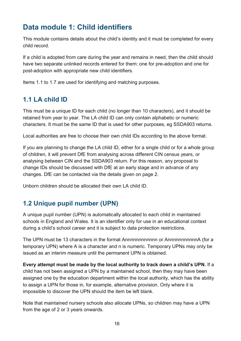# <span id="page-15-0"></span>**Data module 1: Child identifiers**

This module contains details about the child's identity and it must be completed for every child record.

If a child is adopted from care during the year and remains in need, then the child should have two separate unlinked records entered for them: one for pre-adoption and one for post-adoption with appropriate new child identifiers.

Items 1.1 to 1.7 are used for identifying and matching purposes.

# <span id="page-15-1"></span>**1.1 LA child ID**

This must be a unique ID for each child (no longer than 10 characters), and it should be retained from year to year. The LA child ID can only contain alphabetic or numeric characters. It must be the same ID that is used for other purposes, eg SSDA903 returns.

Local authorities are free to choose their own child IDs according to the above format.

If you are planning to change the LA child ID, either for a single child or for a whole group of children, it will prevent DfE from analysing across different CIN census years, or analysing between CIN and the SSDA903 return. For this reason, any proposal to change IDs should be discussed with DfE at an early stage and in advance of any changes. DfE can be contacted via the details given on page 2.

Unborn children should be allocated their own LA child ID.

# <span id="page-15-2"></span>**1.2 Unique pupil number (UPN)**

A unique pupil number (UPN) is automatically allocated to each child in maintained schools in England and Wales. It is an identifier only for use in an educational context during a child's school career and it is subject to data protection restrictions.

The UPN must be 13 characters in the format Annnnnnnnnnnn or AnnnnnnnnnnnA (for a temporary UPN) where A is a character and n is numeric. Temporary UPNs may only be issued as an interim measure until the permanent UPN is obtained.

**Every attempt must be made by the local authority to track down a child's UPN.** If a child has not been assigned a UPN by a maintained school, then they may have been assigned one by the education department within the local authority, which has the ability to assign a UPN for those in, for example, alternative provision. Only where it is impossible to discover the UPN should the item be left blank.

Note that maintained nursery schools also allocate UPNs, so children may have a UPN from the age of 2 or 3 years onwards.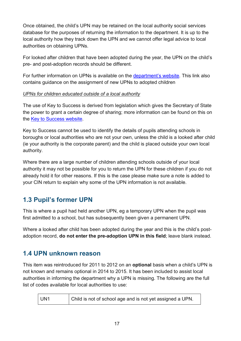Once obtained, the child's UPN may be retained on the local authority social services database for the purposes of returning the information to the department. It is up to the local authority how they track down the UPN and we cannot offer legal advice to local authorities on obtaining UPNs.

For looked after children that have been adopted during the year, the UPN on the child's pre- and post-adoption records should be different.

For further information on UPNs is available on the [department's website.](http://www.education.gov.uk/schools/adminandfinance/schooladmin/ims/datamanagement/upn) This link also contains guidance on the assignment of new UPNs to adopted children

#### *UPNs for children educated outside of a local authority*

The use of Key to Success is derived from legislation which gives the Secretary of State the power to grant a certain degree of sharing; more information can be found on this on the [Key to Success website.](https://www.keytosuccess.education.gov.uk/leas/)

Key to Success cannot be used to identify the details of pupils attending schools in boroughs or local authorities who are not your own, unless the child is a looked after child (ie your authority is the corporate parent) and the child is placed outside your own local authority.

Where there are a large number of children attending schools outside of your local authority it may not be possible for you to return the UPN for these children if you do not already hold it for other reasons. If this is the case please make sure a note is added to your CIN return to explain why some of the UPN information is not available.

# <span id="page-16-0"></span>**1.3 Pupil's former UPN**

This is where a pupil had held another UPN, eg a temporary UPN when the pupil was first admitted to a school, but has subsequently been given a permanent UPN.

Where a looked after child has been adopted during the year and this is the child's postadoption record, **do not enter the pre-adoption UPN in this field**; leave blank instead.

# <span id="page-16-1"></span>**1.4 UPN unknown reason**

This item was reintroduced for 2011 to 2012 on an **optional** basis when a child's UPN is not known and remains optional in 2014 to 2015. It has been included to assist local authorities in informing the department why a UPN is missing. The following are the full list of codes available for local authorities to use:

| UN <sub>1</sub> | Child is not of school age and is not yet assigned a UPN. |
|-----------------|-----------------------------------------------------------|
|-----------------|-----------------------------------------------------------|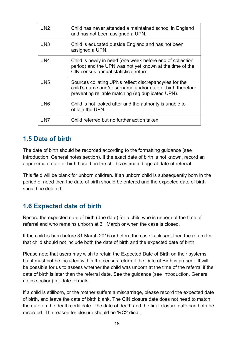| UN <sub>2</sub> | Child has never attended a maintained school in England<br>and has not been assigned a UPN.                                                                               |
|-----------------|---------------------------------------------------------------------------------------------------------------------------------------------------------------------------|
| UN <sub>3</sub> | Child is educated outside England and has not been<br>assigned a UPN.                                                                                                     |
| UN4             | Child is newly in need (one week before end of collection<br>period) and the UPN was not yet known at the time of the<br>CIN census annual statistical return.            |
| UN <sub>5</sub> | Sources collating UPNs reflect discrepancy/ies for the<br>child's name and/or surname and/or date of birth therefore<br>preventing reliable matching (eg duplicated UPN). |
| UN <sub>6</sub> | Child is not looked after and the authority is unable to<br>obtain the UPN.                                                                                               |
| UN7             | Child referred but no further action taken                                                                                                                                |

# <span id="page-17-0"></span>**1.5 Date of birth**

The date of birth should be recorded according to the formatting guidance (see Introduction, General notes section). If the exact date of birth is not known, record an approximate date of birth based on the child's estimated age at date of referral.

This field will be blank for unborn children. If an unborn child is subsequently born in the period of need then the date of birth should be entered and the expected date of birth should be deleted.

# <span id="page-17-1"></span>**1.6 Expected date of birth**

Record the expected date of birth (due date) for a child who is unborn at the time of referral and who remains unborn at 31 March or when the case is closed.

If the child is born before 31 March 2015 or before the case is closed, then the return for that child should not include both the date of birth and the expected date of birth.

Please note that users may wish to retain the Expected Date of Birth on their systems, but it must not be included within the census return if the Date of Birth is present. It will be possible for us to assess whether the child was unborn at the time of the referral if the date of birth is later than the referral date. See the guidance (see Introduction, General notes section) for date formats.

If a child is stillborn, or the mother suffers a miscarriage, please record the expected date of birth, and leave the date of birth blank. The CIN closure date does not need to match the date on the death certificate. The date of death and the final closure date can both be recorded. The reason for closure should be 'RC2 died'.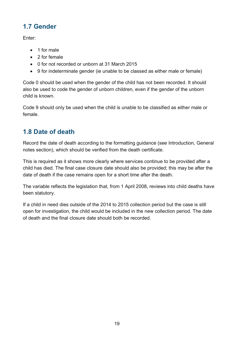# <span id="page-18-0"></span>**1.7 Gender**

Enter:

- 1 for male
- 2 for female
- 0 for not recorded or unborn at 31 March 2015
- 9 for indeterminate gender (ie unable to be classed as either male or female)

Code 0 should be used when the gender of the child has not been recorded. It should also be used to code the gender of unborn children, even if the gender of the unborn child is known.

Code 9 should only be used when the child is unable to be classified as either male or female.

# <span id="page-18-1"></span>**1.8 Date of death**

Record the date of death according to the formatting guidance (see Introduction, General notes section), which should be verified from the death certificate.

This is required as it shows more clearly where services continue to be provided after a child has died. The final case closure date should also be provided; this may be after the date of death if the case remains open for a short time after the death.

The variable reflects the legislation that, from 1 April 2008, reviews into child deaths have been statutory.

If a child in need dies outside of the 2014 to 2015 collection period but the case is still open for investigation, the child would be included in the new collection period. The date of death and the final closure date should both be recorded.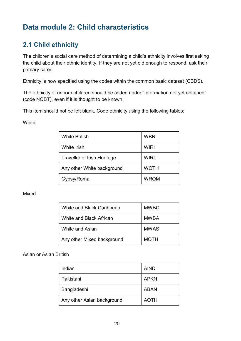# <span id="page-19-0"></span>**Data module 2: Child characteristics**

# <span id="page-19-1"></span>**2.1 Child ethnicity**

The children's social care method of determining a child's ethnicity involves first asking the child about their ethnic identity. If they are not yet old enough to respond, ask their primary carer.

Ethnicity is now specified using the codes within the common basic dataset (CBDS).

The ethnicity of unborn children should be coded under "Information not yet obtained" (code NOBT), even if it is thought to be known.

This item should not be left blank. Code ethnicity using the following tables:

#### **White**

| <b>White British</b>               | <b>WBRI</b> |
|------------------------------------|-------------|
| <b>White Irish</b>                 | <b>WIRI</b> |
| <b>Traveller of Irish Heritage</b> | <b>WIRT</b> |
| Any other White background         | <b>WOTH</b> |
| Gypsy/Roma                         | <b>WROM</b> |

#### Mixed

| White and Black Caribbean  | <b>MWBC</b> |
|----------------------------|-------------|
| White and Black African    | MWBA        |
| White and Asian            | <b>MWAS</b> |
| Any other Mixed background | <b>MOTH</b> |

Asian or Asian British

| Indian                     | <b>AIND</b> |
|----------------------------|-------------|
| Pakistani                  | <b>APKN</b> |
| Bangladeshi                | <b>ABAN</b> |
| Any other Asian background | AOTH        |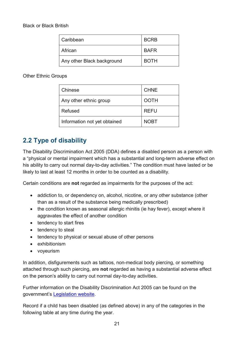| Caribbean                  | <b>BCRB</b> |
|----------------------------|-------------|
| African                    | <b>BAFR</b> |
| Any other Black background | <b>BOTH</b> |

Other Ethnic Groups

| Chinese                      | <b>CHNE</b> |
|------------------------------|-------------|
| Any other ethnic group       | <b>OOTH</b> |
| Refused                      | <b>REFU</b> |
| Information not yet obtained | <b>NOBT</b> |

# <span id="page-20-0"></span>**2.2 Type of disability**

The Disability Discrimination Act 2005 (DDA) defines a disabled person as a person with a "physical or mental impairment which has a substantial and long-term adverse effect on his ability to carry out normal day-to-day activities." The condition must have lasted or be likely to last at least 12 months in order to be counted as a disability.

Certain conditions are **not** regarded as impairments for the purposes of the act:

- addiction to, or dependency on, alcohol, nicotine, or any other substance (other than as a result of the substance being medically prescribed)
- the condition known as seasonal allergic rhinitis (ie hay fever), except where it aggravates the effect of another condition
- tendency to start fires
- tendency to steal
- tendency to physical or sexual abuse of other persons
- exhibitionism
- voyeurism

In addition, disfigurements such as tattoos, non-medical body piercing, or something attached through such piercing, are **not** regarded as having a substantial adverse effect on the person's ability to carry out normal day-to-day activities.

Further information on the Disability Discrimination Act 2005 can be found on the government's [Legislation website.](http://www.legislation.gov.uk/ukpga/2005/13/contents)

Record if a child has been disabled (as defined above) in any of the categories in the following table at any time during the year.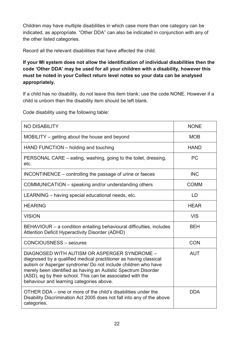Children may have multiple disabilities in which case more than one category can be indicated, as appropriate. "Other DDA" can also be indicated in conjunction with any of the other listed categories.

Record all the relevant disabilities that have affected the child.

**If your MI system does not allow the identification of individual disabilities then the code 'Other DDA' may be used for all your children with a disability, however this must be noted in your Collect return level notes so your data can be analysed appropriately.**

If a child has no disability, do not leave this item blank; use the code NONE. However if a child is unborn then the disability item should be left blank.

Code disability using the following table:

| <b>NO DISABILITY</b>                                                                                                                                                                                                                                                                                                                                           | <b>NONE</b> |
|----------------------------------------------------------------------------------------------------------------------------------------------------------------------------------------------------------------------------------------------------------------------------------------------------------------------------------------------------------------|-------------|
| MOBILITY – getting about the house and beyond                                                                                                                                                                                                                                                                                                                  | <b>MOB</b>  |
| HAND FUNCTION – holding and touching                                                                                                                                                                                                                                                                                                                           | <b>HAND</b> |
| PERSONAL CARE – eating, washing, going to the toilet, dressing,<br>etc.                                                                                                                                                                                                                                                                                        | <b>PC</b>   |
| INCONTINENCE – controlling the passage of urine or faeces                                                                                                                                                                                                                                                                                                      | <b>INC</b>  |
| COMMUNICATION – speaking and/or understanding others                                                                                                                                                                                                                                                                                                           | <b>COMM</b> |
| LEARNING - having special educational needs, etc.                                                                                                                                                                                                                                                                                                              | LD          |
| <b>HEARING</b>                                                                                                                                                                                                                                                                                                                                                 | <b>HEAR</b> |
| <b>VISION</b>                                                                                                                                                                                                                                                                                                                                                  | <b>VIS</b>  |
| BEHAVIOUR – a condition entailing behavioural difficulties, includes<br><b>Attention Deficit Hyperactivity Disorder (ADHD)</b>                                                                                                                                                                                                                                 | <b>BEH</b>  |
| <b>CONCIOUSNESS - seizures</b>                                                                                                                                                                                                                                                                                                                                 | <b>CON</b>  |
| DIAGNOSED WITH AUTISM OR ASPERGER SYNDROME -<br>diagnosed by a qualified medical practitioner as having classical<br>autism or Asperger syndrome/ Do not include children who have<br>merely been identified as having an Autistic Spectrum Disorder<br>(ASD), eg by their school. This can be associated with the<br>behaviour and learning categories above. | <b>AUT</b>  |
| OTHER DDA – one or more of the child's disabilities under the<br>Disability Discrimination Act 2005 does not fall into any of the above<br>categories.                                                                                                                                                                                                         | <b>DDA</b>  |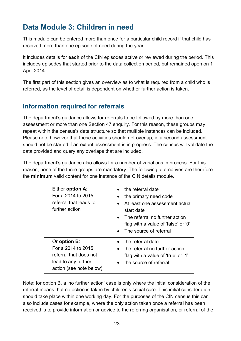# <span id="page-22-0"></span>**Data Module 3: Children in need**

This module can be entered more than once for a particular child record if that child has received more than one episode of need during the year.

It includes details for **each** of the CIN episodes active or reviewed during the period. This includes episodes that started prior to the data collection period, but remained open on 1 April 2014.

The first part of this section gives an overview as to what is required from a child who is referred, as the level of detail is dependent on whether further action is taken.

# <span id="page-22-1"></span>**Information required for referrals**

The department's guidance allows for referrals to be followed by more than one assessment or more than one Section 47 enquiry. For this reason, these groups may repeat within the census's data structure so that multiple instances can be included. Please note however that these activities should not overlap, ie a second assessment should not be started if an extant assessment is in progress. The census will validate the data provided and query any overlaps that are included.

The department's guidance also allows for a number of variations in process. For this reason, none of the three groups are mandatory. The following alternatives are therefore the **minimum** valid content for one instance of the CIN details module.

| Either option A:<br>For a 2014 to 2015<br>referral that leads to<br>further action                                     | the referral date<br>the primary need code<br>At least one assessment actual<br>start date<br>• The referral no further action<br>flag with a value of 'false' or '0'<br>• The source of referral |
|------------------------------------------------------------------------------------------------------------------------|---------------------------------------------------------------------------------------------------------------------------------------------------------------------------------------------------|
| Or option <b>B</b> :<br>For a 2014 to 2015<br>referral that does not<br>lead to any further<br>action (see note below) | the referral date<br>the referral no further action<br>flag with a value of 'true' or '1'<br>the source of referral                                                                               |

Note: for option B, a 'no further action' case is only where the initial consideration of the referral means that no action is taken by children's social care. This initial consideration should take place within one working day. For the purposes of the CIN census this can also include cases for example, where the only action taken once a referral has been received is to provide information or advice to the referring organisation, or referral of the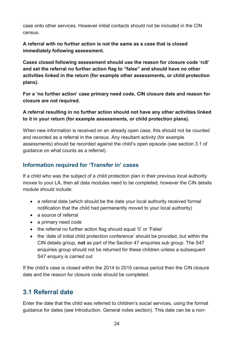case onto other services. However initial contacts should not be included in the CIN census.

**A referral with no further action is not the same as a case that is closed immediately following assessment.** 

**Cases closed following assessment should use the reason for closure code 'rc8' and set the referral no further action flag to "false" and should have no other activities linked in the return (for example other assessments, or child protection plans).**

**For a 'no further action' case primary need code, CIN closure date and reason for closure are not required.** 

**A referral resulting in no further action should not have any other activities linked to it in your return (for example assessments, or child protection plans).**

When new information is received on an already open case, this should not be counted and recorded as a referral in the census. Any resultant activity (for example assessments) should be recorded against the child's open episode (see section 3.1 of guidance on what counts as a referral).

## <span id="page-23-0"></span>**Information required for 'Transfer in' cases**

If a child who was the subject of a child protection plan in their previous local authority moves to your LA, then all data modules need to be completed, however the CIN details module should include:

- a referral date (which should be the date your local authority received formal notification that the child had permanently moved to your local authority)
- a source of referral
- a primary need code
- the referral no further action flag should equal '0' or 'False'
- the 'date of initial child protection conference' should be provided, but within the CIN details group, **not** as part of the Section 47 enquiries sub group. The S47 enquiries group should not be returned for these children unless a subsequent S47 enquiry is carried out

If the child's case is closed within the 2014 to 2015 census period then the CIN closure date and the reason for closure code should be completed.

# <span id="page-23-1"></span>**3.1 Referral date**

Enter the date that the child was referred to children's social services, using the format guidance for dates (see Introduction, General notes section). This date can be a non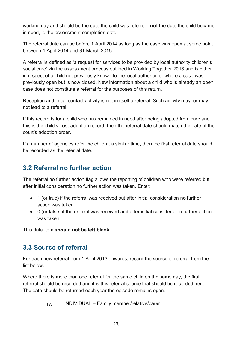working day and should be the date the child was referred, **not** the date the child became in need, ie the assessment completion date.

The referral date can be before 1 April 2014 as long as the case was open at some point between 1 April 2014 and 31 March 2015.

A referral is defined as 'a request for services to be provided by local authority children's social care' via the assessment process outlined in Working Together 2013 and is either in respect of a child not previously known to the local authority, or where a case was previously open but is now closed. New information about a child who is already an open case does not constitute a referral for the purposes of this return.

Reception and initial contact activity is not in itself a referral. Such activity may, or may not lead to a referral.

If this record is for a child who has remained in need after being adopted from care and this is the child's post-adoption record, then the referral date should match the date of the court's adoption order.

If a number of agencies refer the child at a similar time, then the first referral date should be recorded as the referral date.

# <span id="page-24-0"></span>**3.2 Referral no further action**

The referral no further action flag allows the reporting of children who were referred but after initial consideration no further action was taken. Enter:

- 1 (or true) if the referral was received but after initial consideration no further action was taken.
- 0 (or false) if the referral was received and after initial consideration further action was taken.

This data item **should not be left blank**.

# <span id="page-24-1"></span>**3.3 Source of referral**

For each new referral from 1 April 2013 onwards, record the source of referral from the list below.

Where there is more than one referral for the same child on the same day, the first referral should be recorded and it is this referral source that should be recorded here. The data should be returned each year the episode remains open.

1A INDIVIDUAL – Family member/relative/carer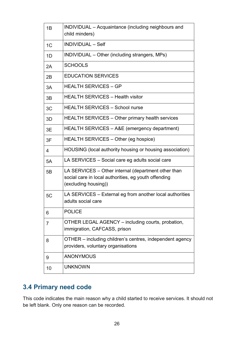| 1B             | INDIVIDUAL – Acquaintance (including neighbours and<br>child minders)                                                               |
|----------------|-------------------------------------------------------------------------------------------------------------------------------------|
| 1 <sup>C</sup> | <b>INDIVIDUAL - Self</b>                                                                                                            |
| 1D             | INDIVIDUAL - Other (including strangers, MPs)                                                                                       |
| 2A             | <b>SCHOOLS</b>                                                                                                                      |
| 2B             | <b>EDUCATION SERVICES</b>                                                                                                           |
| 3A             | <b>HEALTH SERVICES - GP</b>                                                                                                         |
| 3B             | <b>HEALTH SERVICES - Health visitor</b>                                                                                             |
| 3C             | <b>HEALTH SERVICES - School nurse</b>                                                                                               |
| 3D             | <b>HEALTH SERVICES – Other primary health services</b>                                                                              |
| 3E             | HEALTH SERVICES - A&E (emergency department)                                                                                        |
| 3F             | HEALTH SERVICES – Other (eg hospice)                                                                                                |
| 4              | HOUSING (local authority housing or housing association)                                                                            |
| 5A             | LA SERVICES – Social care eg adults social care                                                                                     |
| 5B             | LA SERVICES – Other internal (department other than<br>social care in local authorities, eg youth offending<br>(excluding housing)) |
| 5C             | LA SERVICES – External eg from another local authorities<br>adults social care                                                      |
| 6              | <b>POLICE</b>                                                                                                                       |
| 7              | OTHER LEGAL AGENCY - including courts, probation,<br>immigration, CAFCASS, prison                                                   |
| 8              | OTHER – including children's centres, independent agency<br>providers, voluntary organisations                                      |
| 9              | <b>ANONYMOUS</b>                                                                                                                    |
| 10             | <b>UNKNOWN</b>                                                                                                                      |

# <span id="page-25-0"></span>**3.4 Primary need code**

This code indicates the main reason why a child started to receive services. It should not be left blank. Only one reason can be recorded.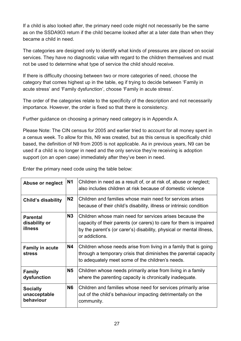If a child is also looked after, the primary need code might not necessarily be the same as on the SSDA903 return if the child became looked after at a later date than when they became a child in need.

The categories are designed only to identify what kinds of pressures are placed on social services. They have no diagnostic value with regard to the children themselves and must not be used to determine what type of service the child should receive.

If there is difficulty choosing between two or more categories of need, choose the category that comes highest up in the table, eg if trying to decide between 'Family in acute stress' and 'Family dysfunction', choose 'Family in acute stress'.

The order of the categories relate to the specificity of the description and not necessarily importance. However, the order is fixed so that there is consistency.

Further guidance on choosing a primary need category is in Appendix A.

Please Note: The CIN census for 2005 and earlier tried to account for all money spent in a census week. To allow for this, N9 was created, but as this census is specifically child based, the definition of N9 from 2005 is not applicable. As in previous years, N9 can be used if a child is no longer in need and the only service they're receiving is adoption support (on an open case) immediately after they've been in need.

Enter the primary need code using the table below:

| Abuse or neglect                                   | <b>N1</b>      | Children in need as a result of, or at risk of, abuse or neglect;<br>also includes children at risk because of domestic violence                                                                                         |
|----------------------------------------------------|----------------|--------------------------------------------------------------------------------------------------------------------------------------------------------------------------------------------------------------------------|
| <b>Child's disability</b>                          | N <sub>2</sub> | Children and families whose main need for services arises<br>because of their child's disability, illness or intrinsic condition                                                                                         |
| <b>Parental</b><br>disability or<br><b>illness</b> | N3             | Children whose main need for services arises because the<br>capacity of their parents (or carers) to care for them is impaired<br>by the parent's (or carer's) disability, physical or mental illness,<br>or addictions. |
| <b>Family in acute</b><br><b>stress</b>            | <b>N4</b>      | Children whose needs arise from living in a family that is going<br>through a temporary crisis that diminishes the parental capacity<br>to adequately meet some of the children's needs.                                 |
| <b>Family</b><br>dysfunction                       | <b>N5</b>      | Children whose needs primarily arise from living in a family<br>where the parenting capacity is chronically inadequate.                                                                                                  |
| <b>Socially</b><br>unacceptable<br>behaviour       | <b>N6</b>      | Children and families whose need for services primarily arise<br>out of the child's behaviour impacting detrimentally on the<br>community.                                                                               |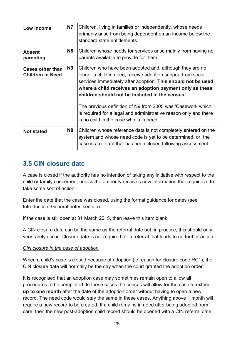| Low income                                         | <b>N7</b>      | Children, living in families or independently, whose needs<br>primarily arise from being dependent on an income below the<br>standard state entitlements.                                                                                                                                                                                                                                                                                                                            |
|----------------------------------------------------|----------------|--------------------------------------------------------------------------------------------------------------------------------------------------------------------------------------------------------------------------------------------------------------------------------------------------------------------------------------------------------------------------------------------------------------------------------------------------------------------------------------|
| <b>Absent</b><br>parenting                         | N8             | Children whose needs for services arise mainly from having no<br>parents available to provide for them.                                                                                                                                                                                                                                                                                                                                                                              |
| <b>Cases other than</b><br><b>Children in Need</b> | N9             | Children who have been adopted and, although they are no<br>longer a child in need, receive adoption support from social<br>services immediately after adoption. This should not be used<br>where a child receives an adoption payment only as these<br>children should not be included in the census.<br>The previous definition of N9 from 2005 was 'Casework which<br>is required for a legal and administrative reason only and there<br>is no child in the case who is in need. |
| <b>Not stated</b>                                  | N <sub>0</sub> | Children whose reference data is not completely entered on the<br>system and whose need code is yet to be determined, or, the<br>case is a referral that has been closed following assessment.                                                                                                                                                                                                                                                                                       |

# <span id="page-27-0"></span>**3.5 CIN closure date**

A case is closed if the authority has no intention of taking any initiative with respect to the child or family concerned, unless the authority receives new information that requires it to take some sort of action.

Enter the date that the case was closed, using the format guidance for dates (see Introduction, General notes section).

If the case is still open at 31 March 2015, then leave this item blank.

A CIN closure date can be the same as the referral date but, in practice, this should only very rarely occur. Closure date is not required for a referral that leads to no further action.

#### *CIN closure in the case of adoption*

When a child's case is closed because of adoption (ie reason for closure code RC1), the CIN closure date will normally be the day when the court granted the adoption order.

It is recognised that an adoption case may sometimes remain open to allow all procedures to be completed. In these cases the census will allow for the case to extend **up to one month** after the date of the adoption order without having to open a new record. The need code would stay the same in these cases. Anything above 1 month will require a new record to be created. If a child remains in need after being adopted from care, then the new post-adoption child record should be opened with a CIN referral date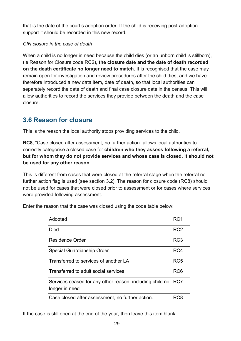that is the date of the court's adoption order. If the child is receiving post-adoption support it should be recorded in this new record.

## *CIN closure in the case of death*

When a child is no longer in need because the child dies (or an unborn child is stillborn), (ie Reason for Closure code RC2), **the closure date and the date of death recorded on the death certificate no longer need to match.** It is recognised that the case may remain open for investigation and review procedures after the child dies, and we have therefore introduced a new data item, date of death, so that local authorities can separately record the date of death and final case closure date in the census. This will allow authorities to record the services they provide between the death and the case closure.

# <span id="page-28-0"></span>**3.6 Reason for closure**

This is the reason the local authority stops providing services to the child.

**RC8**, "Case closed after assessment, no further action" allows local authorities to correctly categorise a closed case for **children who they assess following a referral, but for whom they do not provide services and whose case is closed. It should not be used for any other reason**.

This is different from cases that were closed at the referral stage when the referral no further action flag is used (see section 3.2). The reason for closure code (RC8) should not be used for cases that were closed prior to assessment or for cases where services were provided following assessment.

| Adopted                                                                    | RC <sub>1</sub> |
|----------------------------------------------------------------------------|-----------------|
| Died                                                                       | RC <sub>2</sub> |
| Residence Order                                                            | RC <sub>3</sub> |
| Special Guardianship Order                                                 | RC4             |
| Transferred to services of another LA                                      | RC <sub>5</sub> |
| Transferred to adult social services                                       | RC <sub>6</sub> |
| Services ceased for any other reason, including child no<br>longer in need | RC7             |
| Case closed after assessment, no further action.                           | RC8             |

Enter the reason that the case was closed using the code table below:

If the case is still open at the end of the year, then leave this item blank.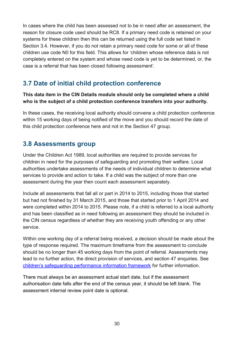In cases where the child has been assessed not to be in need after an assessment, the reason for closure code used should be RC8. If a primary need code is retained on your systems for these children then this can be returned using the full code set listed in Section 3.4. However, if you do not retain a primary need code for some or all of these children use code N0 for this field. This allows for 'children whose reference data is not completely entered on the system and whose need code is yet to be determined, or, the case is a referral that has been closed following assessment'.

# <span id="page-29-0"></span>**3.7 Date of initial child protection conference**

**This data item in the CIN Details module should only be completed where a child who is the subject of a child protection conference transfers into your authority.** 

In these cases, the receiving local authority should convene a child protection conference within 15 working days of being notified of the move and you should record the date of this child protection conference here and not in the Section 47 group.

# <span id="page-29-1"></span>**3.8 Assessments group**

Under the Children Act 1989, local authorities are required to provide services for children in need for the purposes of safeguarding and promoting their welfare. Local authorities undertake assessments of the needs of individual children to determine what services to provide and action to take. If a child was the subject of more than one assessment during the year then count each assessment separately.

Include all assessments that fall all or part in 2014 to 2015, including those that started but had not finished by 31 March 2015, and those that started prior to 1 April 2014 and were completed within 2014 to 2015. Please note, if a child is referred to a local authority and has been classified as in need following an assessment they should be included in the CIN census regardless of whether they are receiving youth offending or any other service.

Within one working day of a referral being received, a decision should be made about the type of response required. The maximum timeframe from the assessment to conclude should be no longer than 45 working days from the point of referral. Assessments may lead to no further action, the direct provision of services, and section 47 enquiries. See [children's safeguarding performance information framework](https://www.gov.uk/government/publications/childrens-safeguarding-performance-information-framework) for further information.

There must always be an assessment actual start date, but if the assessment authorisation date falls after the end of the census year, it should be left blank. The assessment internal review point date is optional.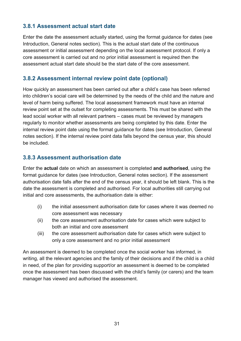## <span id="page-30-0"></span>**3.8.1 Assessment actual start date**

Enter the date the assessment actually started, using the format guidance for dates (see Introduction, General notes section). This is the actual start date of the continuous assessment or initial assessment depending on the local assessment protocol. If only a core assessment is carried out and no prior initial assessment is required then the assessment actual start date should be the start date of the core assessment.

## <span id="page-30-1"></span>**3.8.2 Assessment internal review point date (optional)**

How quickly an assessment has been carried out after a child's case has been referred into children's social care will be determined by the needs of the child and the nature and level of harm being suffered. The local assessment framework must have an internal review point set at the outset for completing assessments. This must be shared with the lead social worker with all relevant partners – cases must be reviewed by managers regularly to monitor whether assessments are being completed by this date. Enter the internal review point date using the format guidance for dates (see Introduction, General notes section). If the internal review point data falls beyond the census year, this should be included.

## <span id="page-30-2"></span>**3.8.3 Assessment authorisation date**

Enter the **actual** date on which an assessment is completed **and authorised**, using the format guidance for dates (see Introduction, General notes section). If the assessment authorisation date falls after the end of the census year, it should be left blank. This is the date the assessment is completed and authorised. For local authorities still carrying out initial and core assessments, the authorisation date is either:

- (i) the initial assessment authorisation date for cases where it was deemed no core assessment was necessary
- (ii) the core assessment authorisation date for cases which were subject to both an initial and core assessment
- (iii) the core assessment authorisation date for cases which were subject to only a core assessment and no prior initial assessment

An assessment is deemed to be completed once the social worker has informed, in writing, all the relevant agencies and the family of their decisions and if the child is a child in need, of the plan for providing support/or an assessment is deemed to be completed once the assessment has been discussed with the child's family (or carers) and the team manager has viewed and authorised the assessment.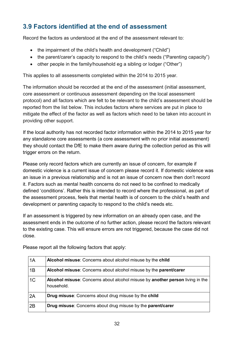# <span id="page-31-0"></span>**3.9 Factors identified at the end of assessment**

Record the factors as understood at the end of the assessment relevant to:

- the impairment of the child's health and development ("Child")
- the parent/carer's capacity to respond to the child's needs ("Parenting capacity")
- other people in the family/household eg a sibling or lodger ("Other")

This applies to all assessments completed within the 2014 to 2015 year.

The information should be recorded at the end of the assessment (initial assessment, core assessment or continuous assessment depending on the local assessment protocol) and all factors which are felt to be relevant to the child's assessment should be reported from the list below. This includes factors where services are put in place to mitigate the effect of the factor as well as factors which need to be taken into account in providing other support.

If the local authority has not recorded factor information within the 2014 to 2015 year for any standalone core assessments (a core assessment with no prior initial assessment) they should contact the DfE to make them aware during the collection period as this will trigger errors on the return.

Please only record factors which are currently an issue of concern, for example if domestic violence is a current issue of concern please record it. If domestic violence was an issue in a previous relationship and is not an issue of concern now then don't record it. Factors such as mental health concerns do not need to be confined to medically defined 'conditions'. Rather this is intended to record where the professional, as part of the assessment process, feels that mental health is of concern to the child's health and development or parenting capacity to respond to the child's needs etc.

If an assessment is triggered by new information on an already open case, and the assessment ends in the outcome of no further action, please record the factors relevant to the existing case. This will ensure errors are not triggered, because the case did not close.

| 1A             | Alcohol misuse: Concerns about alcohol misuse by the child                                  |
|----------------|---------------------------------------------------------------------------------------------|
| 1B             | Alcohol misuse: Concerns about alcohol misuse by the parent/carer                           |
| 1 <sup>C</sup> | Alcohol misuse: Concerns about alcohol misuse by another person living in the<br>household. |
| 2A             | <b>Drug misuse:</b> Concerns about drug misuse by the child                                 |
| 2B             | <b>Drug misuse:</b> Concerns about drug misuse by the <b>parent/carer</b>                   |

Please report all the following factors that apply: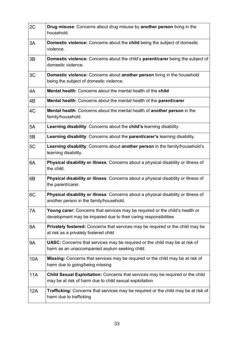| 2C         | <b>Drug misuse:</b> Concerns about drug misuse by <b>another person</b> living in the<br>household.                                              |
|------------|--------------------------------------------------------------------------------------------------------------------------------------------------|
| 3A         | Domestic violence: Concerns about the child being the subject of domestic<br>violence.                                                           |
| 3B         | Domestic violence: Concerns about the child's parent/carer being the subject of<br>domestic violence.                                            |
| 3C         | <b>Domestic violence:</b> Concerns about <b>another person</b> living in the household<br>being the subject of domestic violence.                |
| 4A         | <b>Mental health:</b> Concerns about the mental health of the child                                                                              |
| 4B         | Mental health: Concerns about the mental health of the parent/carer                                                                              |
| 4C         | Mental health: Concerns about the mental health of another person in the<br>family/household.                                                    |
| 5A         | Learning disability: Concerns about the child's learning disability.                                                                             |
| 5B         | Learning disability: Concerns about the parent/carer's learning disability.                                                                      |
| 5C         | Learning disability: Concerns about another person in the family/household's<br>learning disability.                                             |
| 6A         | Physical disability or illness: Concerns about a physical disability or illness of<br>the child.                                                 |
| 6B         | Physical disability or illness: Concerns about a physical disability or illness of<br>the parent/carer.                                          |
| 6C         | Physical disability or illness: Concerns about a physical disability or illness of<br>another person in the family/household.                    |
| 7A         | Young carer: Concerns that services may be required or the child's health or<br>development may be impaired due to their caring responsibilities |
| 8A         | <b>Privately fostered:</b> Concerns that services may be required or the child may be<br>at risk as a privately fostered child                   |
| 9Α         | <b>UASC:</b> Concerns that services may be required or the child may be at risk of<br>harm as an unaccompanied asylum seeking child.             |
| 10A        | Missing: Concerns that services may be required or the child may be at risk of<br>harm due to going/being missing                                |
| 11A        | Child Sexual Exploitation: Concerns that services may be required or the child<br>may be at risk of harm due to child sexual exploitation        |
| <b>12A</b> | <b>Trafficking:</b> Concerns that services may be required or the child may be at risk of<br>harm due to trafficking                             |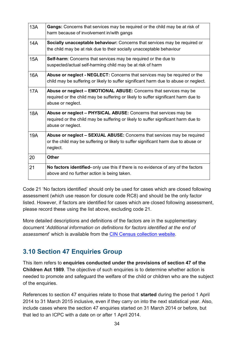| 13A        | Gangs: Concerns that services may be required or the child may be at risk of<br>harm because of involvement in/with gangs                                                    |
|------------|------------------------------------------------------------------------------------------------------------------------------------------------------------------------------|
| 14A        | Socially unacceptable behaviour: Concerns that services may be required or<br>the child may be at risk due to their socially unacceptable behaviour                          |
| <b>15A</b> | <b>Self-harm:</b> Concerns that services may be required or the due to<br>suspected/actual self-harming child may be at risk of harm                                         |
| 16A        | <b>Abuse or neglect - NEGLECT:</b> Concerns that services may be required or the<br>child may be suffering or likely to suffer significant harm due to abuse or neglect.     |
| <b>17A</b> | Abuse or neglect - EMOTIONAL ABUSE: Concerns that services may be<br>required or the child may be suffering or likely to suffer significant harm due to<br>abuse or neglect. |
| <b>18A</b> | Abuse or neglect - PHYSICAL ABUSE: Concerns that services may be<br>required or the child may be suffering or likely to suffer significant harm due to<br>abuse or neglect.  |
| 19A        | Abuse or neglect - SEXUAL ABUSE: Concerns that services may be required<br>or the child may be suffering or likely to suffer significant harm due to abuse or<br>neglect.    |
| 20         | <b>Other</b>                                                                                                                                                                 |
| 21         | No factors identified- only use this if there is no evidence of any of the factors<br>above and no further action is being taken.                                            |

Code 21 'No factors identified' should only be used for cases which are closed following assessment (which use reason for closure code RC8) and should be the only factor listed. However, if factors are identified for cases which are closed following assessment, please record these using the list above, excluding code 21.

More detailed descriptions and definitions of the factors are in the supplementary document '*Additional information on definitions for factors identified at the end of assessment*' which is available from the CIN Census [collection website.](https://www.gov.uk/government/collections/children-in-need-census)

# <span id="page-33-0"></span>**3.10 Section 47 Enquiries Group**

This item refers to **enquiries conducted under the provisions of section 47 of the Children Act 1989**. The objective of such enquiries is to determine whether action is needed to promote and safeguard the welfare of the child or children who are the subject of the enquiries.

References to section 47 enquiries relate to those that **started** during the period 1 April 2014 to 31 March 2015 inclusive, even if they carry on into the next statistical year. Also, include cases where the section 47 enquiries started on 31 March 2014 or before, but that led to an ICPC with a date on or after 1 April 2014.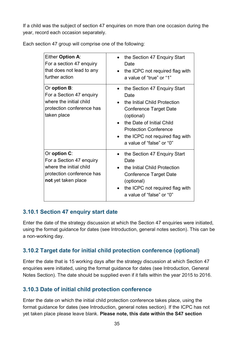If a child was the subject of section 47 enquiries on more than one occasion during the year, record each occasion separately.

Each section 47 group will comprise one of the following:

| Either Option A:<br>For a section 47 enquiry<br>that does not lead to any<br>further action                             | the Section 47 Enquiry Start<br>Date<br>the ICPC not required flag with<br>a value of "true" or "1"                                                                                                                                       |
|-------------------------------------------------------------------------------------------------------------------------|-------------------------------------------------------------------------------------------------------------------------------------------------------------------------------------------------------------------------------------------|
| Or option <b>B</b> :<br>For a Section 47 enquiry<br>where the initial child<br>protection conference has<br>taken place | the Section 47 Enquiry Start<br>Date<br>the Initial Child Protection<br>Conference Target Date<br>(optional)<br>the Date of Initial Child<br><b>Protection Conference</b><br>the ICPC not required flag with<br>a value of "false" or "0" |
| Or option C:<br>For a Section 47 enquiry<br>where the initial child<br>protection conference has<br>not yet taken place | the Section 47 Enquiry Start<br>Date<br>the Initial Child Protection<br><b>Conference Target Date</b><br>(optional)<br>the ICPC not required flag with<br>a value of "false" or "0"                                                       |

## <span id="page-34-0"></span>**3.10.1 Section 47 enquiry start date**

Enter the date of the strategy discussion at which the Section 47 enquiries were initiated, using the format guidance for dates (see Introduction, general notes section). This can be a non-working day.

## <span id="page-34-1"></span>**3.10.2 Target date for initial child protection conference (optional)**

Enter the date that is 15 working days after the strategy discussion at which Section 47 enquiries were initiated, using the format guidance for dates (see Introduction, General Notes Section). The date should be supplied even if it falls within the year 2015 to 2016.

## <span id="page-34-2"></span>**3.10.3 Date of initial child protection conference**

Enter the date on which the initial child protection conference takes place, using the format guidance for dates (see Introduction, general notes section). If the ICPC has not yet taken place please leave blank. **Please note, this date within the S47 section**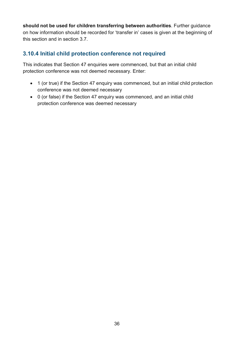**should not be used for children transferring between authorities**. Further guidance on how information should be recorded for 'transfer in' cases is given at the beginning of this section and in section 3.7.

## <span id="page-35-0"></span>**3.10.4 Initial child protection conference not required**

This indicates that Section 47 enquiries were commenced, but that an initial child protection conference was not deemed necessary. Enter:

- 1 (or true) if the Section 47 enquiry was commenced, but an initial child protection conference was not deemed necessary
- 0 (or false) if the Section 47 enquiry was commenced, and an initial child protection conference was deemed necessary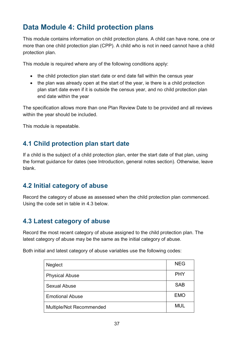# <span id="page-36-0"></span>**Data Module 4: Child protection plans**

This module contains information on child protection plans. A child can have none, one or more than one child protection plan (CPP). A child who is not in need cannot have a child protection plan.

This module is required where any of the following conditions apply:

- the child protection plan start date or end date fall within the census year
- the plan was already open at the start of the year, ie there is a child protection plan start date even if it is outside the census year, and no child protection plan end date within the year

The specification allows more than one Plan Review Date to be provided and all reviews within the year should be included.

This module is repeatable.

# <span id="page-36-1"></span>**4.1 Child protection plan start date**

If a child is the subject of a child protection plan, enter the start date of that plan, using the format guidance for dates (see Introduction, general notes section). Otherwise, leave blank.

# <span id="page-36-2"></span>**4.2 Initial category of abuse**

Record the category of abuse as assessed when the child protection plan commenced. Using the code set in table in 4.3 below.

# <span id="page-36-3"></span>**4.3 Latest category of abuse**

Record the most recent category of abuse assigned to the child protection plan. The latest category of abuse may be the same as the initial category of abuse.

Both initial and latest category of abuse variables use the following codes:

| <b>Neglect</b>           | <b>NEG</b> |
|--------------------------|------------|
| <b>Physical Abuse</b>    | <b>PHY</b> |
| <b>Sexual Abuse</b>      | <b>SAB</b> |
| <b>Emotional Abuse</b>   | <b>EMO</b> |
| Multiple/Not Recommended | <b>MUL</b> |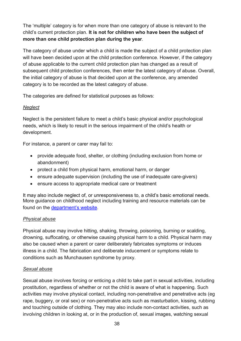The 'multiple' category is for when more than one category of abuse is relevant to the child's current protection plan. **It is not for children who have been the subject of more than one child protection plan during the year**.

The category of abuse under which a child is made the subject of a child protection plan will have been decided upon at the child protection conference. However, if the category of abuse applicable to the current child protection plan has changed as a result of subsequent child protection conferences, then enter the latest category of abuse. Overall, the initial category of abuse is that decided upon at the conference, any amended category is to be recorded as the latest category of abuse.

The categories are defined for statistical purposes as follows:

## *Neglect*

Neglect is the persistent failure to meet a child's basic physical and/or psychological needs, which is likely to result in the serious impairment of the child's health or development.

For instance, a parent or carer may fail to:

- provide adequate food, shelter, or clothing (including exclusion from home or abandonment)
- protect a child from physical harm, emotional harm, or danger
- ensure adequate supervision (including the use of inadequate care-givers)
- ensure access to appropriate medical care or treatment

It may also include neglect of, or unresponsiveness to, a child's basic emotional needs. More guidance on childhood neglect including training and resource materials can be found on the [department's website.](http://www.education.gov.uk/childrenandyoungpeople/safeguardingchildren/childhoodneglect)

## *Physical abuse*

Physical abuse may involve hitting, shaking, throwing, poisoning, burning or scalding, drowning, suffocating, or otherwise causing physical harm to a child. Physical harm may also be caused when a parent or carer deliberately fabricates symptoms or induces illness in a child. The fabrication and deliberate inducement or symptoms relate to conditions such as Munchausen syndrome by proxy.

## *Sexual abuse*

Sexual abuse involves forcing or enticing a child to take part in sexual activities, including prostitution, regardless of whether or not the child is aware of what is happening. Such activities may involve physical contact, including non-penetrative and penetrative acts (eg rape, buggery, or oral sex) or non-penetrative acts such as masturbation, kissing, rubbing and touching outside of clothing. They may also include non-contact activities, such as involving children in looking at, or in the production of, sexual images, watching sexual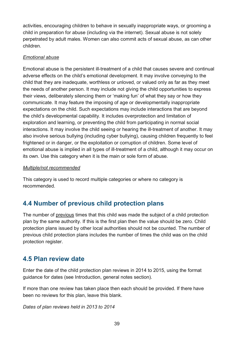activities, encouraging children to behave in sexually inappropriate ways, or grooming a child in preparation for abuse (including via the internet). Sexual abuse is not solely perpetrated by adult males. Women can also commit acts of sexual abuse, as can other children.

#### *Emotional abuse*

Emotional abuse is the persistent ill-treatment of a child that causes severe and continual adverse effects on the child's emotional development. It may involve conveying to the child that they are inadequate, worthless or unloved, or valued only as far as they meet the needs of another person. It may include not giving the child opportunities to express their views, deliberately silencing them or 'making fun' of what they say or how they communicate. It may feature the imposing of age or developmentally inappropriate expectations on the child. Such expectations may include interactions that are beyond the child's developmental capability. It includes overprotection and limitation of exploration and learning, or preventing the child from participating in normal social interactions. It may involve the child seeing or hearing the ill-treatment of another. It may also involve serious bullying (including cyber bullying), causing children frequently to feel frightened or in danger, or the exploitation or corruption of children. Some level of emotional abuse is implied in all types of ill-treatment of a child, although it may occur on its own. Use this category when it is the main or sole form of abuse.

#### *Multiple/not recommended*

This category is used to record multiple categories or where no category is recommended.

# <span id="page-38-0"></span>**4.4 Number of previous child protection plans**

The number of previous times that this child was made the subject of a child protection plan by the same authority. If this is the first plan then the value should be zero. Child protection plans issued by other local authorities should not be counted. The number of previous child protection plans includes the number of times the child was on the child protection register.

## <span id="page-38-1"></span>**4.5 Plan review date**

Enter the date of the child protection plan reviews in 2014 to 2015, using the format guidance for dates (see Introduction, general notes section).

If more than one review has taken place then each should be provided. If there have been no reviews for this plan, leave this blank.

*Dates of plan reviews held in 2013 to 2014*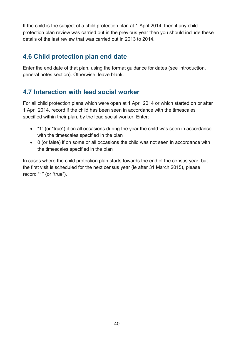If the child is the subject of a child protection plan at 1 April 2014, then if any child protection plan review was carried out in the previous year then you should include these details of the last review that was carried out in 2013 to 2014.

# <span id="page-39-0"></span>**4.6 Child protection plan end date**

Enter the end date of that plan, using the format guidance for dates (see Introduction, general notes section). Otherwise, leave blank.

# <span id="page-39-1"></span>**4.7 Interaction with lead social worker**

For all child protection plans which were open at 1 April 2014 or which started on or after 1 April 2014, record if the child has been seen in accordance with the timescales specified within their plan, by the lead social worker. Enter:

- "1" (or "true") if on all occasions during the year the child was seen in accordance with the timescales specified in the plan
- 0 (or false) if on some or all occasions the child was not seen in accordance with the timescales specified in the plan

In cases where the child protection plan starts towards the end of the census year, but the first visit is scheduled for the next census year (ie after 31 March 2015), please record "1" (or "true").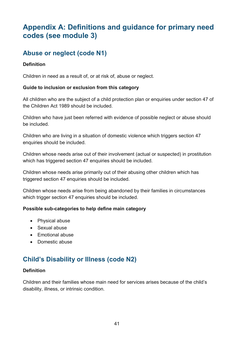# <span id="page-40-0"></span>**Appendix A: Definitions and guidance for primary need codes (see module 3)**

# <span id="page-40-1"></span>**Abuse or neglect (code N1)**

#### **Definition**

Children in need as a result of, or at risk of, abuse or neglect.

#### **Guide to inclusion or exclusion from this category**

All children who are the subject of a child protection plan or enquiries under section 47 of the Children Act 1989 should be included.

Children who have just been referred with evidence of possible neglect or abuse should be included.

Children who are living in a situation of domestic violence which triggers section 47 enquiries should be included.

Children whose needs arise out of their involvement (actual or suspected) in prostitution which has triggered section 47 enquiries should be included.

Children whose needs arise primarily out of their abusing other children which has triggered section 47 enquiries should be included.

Children whose needs arise from being abandoned by their families in circumstances which trigger section 47 enquiries should be included.

#### **Possible sub-categories to help define main category**

- Physical abuse
- Sexual abuse
- Emotional abuse
- Domestic abuse

# <span id="page-40-2"></span>**Child's Disability or Illness (code N2)**

#### **Definition**

Children and their families whose main need for services arises because of the child's disability, illness, or intrinsic condition.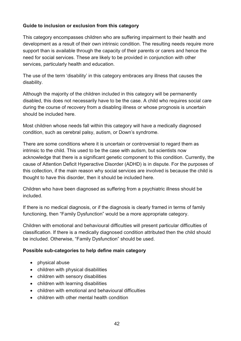This category encompasses children who are suffering impairment to their health and development as a result of their own intrinsic condition. The resulting needs require more support than is available through the capacity of their parents or carers and hence the need for social services. These are likely to be provided in conjunction with other services, particularly health and education.

The use of the term 'disability' in this category embraces any illness that causes the disability.

Although the majority of the children included in this category will be permanently disabled, this does not necessarily have to be the case. A child who requires social care during the course of recovery from a disabling illness or whose prognosis is uncertain should be included here.

Most children whose needs fall within this category will have a medically diagnosed condition, such as cerebral palsy, autism, or Down's syndrome.

There are some conditions where it is uncertain or controversial to regard them as intrinsic to the child. This used to be the case with autism, but scientists now acknowledge that there is a significant genetic component to this condition. Currently, the cause of Attention Deficit Hyperactive Disorder (ADHD) is in dispute. For the purposes of this collection, if the main reason why social services are involved is because the child is thought to have this disorder, then it should be included here.

Children who have been diagnosed as suffering from a psychiatric illness should be included.

If there is no medical diagnosis, or if the diagnosis is clearly framed in terms of family functioning, then "Family Dysfunction" would be a more appropriate category.

Children with emotional and behavioural difficulties will present particular difficulties of classification. If there is a medically diagnosed condition attributed then the child should be included. Otherwise, "Family Dysfunction" should be used.

#### **Possible sub-categories to help define main category**

- physical abuse
- children with physical disabilities
- children with sensory disabilities
- children with learning disabilities
- children with emotional and behavioural difficulties
- children with other mental health condition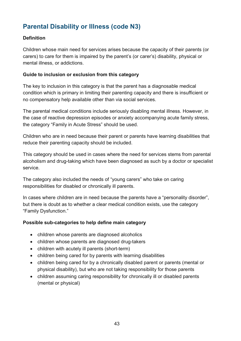# <span id="page-42-0"></span>**Parental Disability or Illness (code N3)**

#### **Definition**

Children whose main need for services arises because the capacity of their parents (or carers) to care for them is impaired by the parent's (or carer's) disability, physical or mental illness, or addictions.

#### **Guide to inclusion or exclusion from this category**

The key to inclusion in this category is that the parent has a diagnosable medical condition which is primary in limiting their parenting capacity and there is insufficient or no compensatory help available other than via social services.

The parental medical conditions include seriously disabling mental illness. However, in the case of reactive depression episodes or anxiety accompanying acute family stress, the category "Family in Acute Stress" should be used.

Children who are in need because their parent or parents have learning disabilities that reduce their parenting capacity should be included.

This category should be used in cases where the need for services stems from parental alcoholism and drug-taking which have been diagnosed as such by a doctor or specialist service.

The category also included the needs of "young carers" who take on caring responsibilities for disabled or chronically ill parents.

In cases where children are in need because the parents have a "personality disorder", but there is doubt as to whether a clear medical condition exists, use the category "Family Dysfunction."

#### **Possible sub-categories to help define main category**

- children whose parents are diagnosed alcoholics
- children whose parents are diagnosed drug-takers
- children with acutely ill parents (short-term)
- children being cared for by parents with learning disabilities
- children being cared for by a chronically disabled parent or parents (mental or physical disability), but who are not taking responsibility for those parents
- children assuming caring responsibility for chronically ill or disabled parents (mental or physical)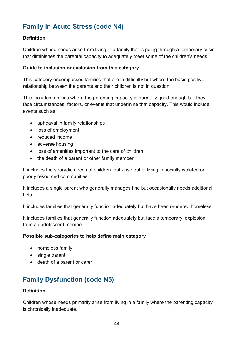# <span id="page-43-0"></span>**Family in Acute Stress (code N4)**

#### **Definition**

Children whose needs arise from living in a family that is going through a temporary crisis that diminishes the parental capacity to adequately meet some of the children's needs.

#### **Guide to inclusion or exclusion from this category**

This category encompasses families that are in difficulty but where the basic positive relationship between the parents and their children is not in question.

This includes families where the parenting capacity is normally good enough but they face circumstances, factors, or events that undermine that capacity. This would include events such as:

- upheaval in family relationships
- loss of employment
- reduced income
- adverse housing
- loss of amenities important to the care of children
- the death of a parent or other family member

It includes the sporadic needs of children that arise out of living in socially isolated or poorly resourced communities.

It includes a single parent who generally manages fine but occasionally needs additional help.

It includes families that generally function adequately but have been rendered homeless.

It includes families that generally function adequately but face a temporary 'explosion' from an adolescent member.

#### **Possible sub-categories to help define main category**

- homeless family
- single parent
- death of a parent or carer

# <span id="page-43-1"></span>**Family Dysfunction (code N5)**

#### **Definition**

Children whose needs primarily arise from living in a family where the parenting capacity is chronically inadequate.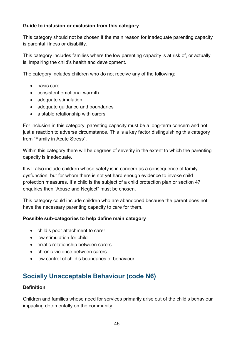This category should not be chosen if the main reason for inadequate parenting capacity is parental illness or disability.

This category includes families where the low parenting capacity is at risk of, or actually is, impairing the child's health and development.

The category includes children who do not receive any of the following:

- basic care
- consistent emotional warmth
- adequate stimulation
- adequate guidance and boundaries
- a stable relationship with carers

For inclusion in this category, parenting capacity must be a long-term concern and not just a reaction to adverse circumstance. This is a key factor distinguishing this category from "Family in Acute Stress".

Within this category there will be degrees of severity in the extent to which the parenting capacity is inadequate.

It will also include children whose safety is in concern as a consequence of family dysfunction, but for whom there is not yet hard enough evidence to invoke child protection measures. If a child is the subject of a child protection plan or section 47 enquiries then "Abuse and Neglect" must be chosen.

This category could include children who are abandoned because the parent does not have the necessary parenting capacity to care for them.

## **Possible sub-categories to help define main category**

- child's poor attachment to carer
- low stimulation for child
- erratic relationship between carers
- chronic violence between carers
- low control of child's boundaries of behaviour

# <span id="page-44-0"></span>**Socially Unacceptable Behaviour (code N6)**

#### **Definition**

Children and families whose need for services primarily arise out of the child's behaviour impacting detrimentally on the community.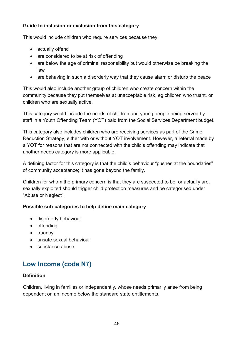This would include children who require services because they:

- actually offend
- are considered to be at risk of offending
- are below the age of criminal responsibility but would otherwise be breaking the law
- are behaving in such a disorderly way that they cause alarm or disturb the peace

This would also include another group of children who create concern within the community because they put themselves at unacceptable risk, eg children who truant, or children who are sexually active.

This category would include the needs of children and young people being served by staff in a Youth Offending Team (YOT) paid from the Social Services Department budget.

This category also includes children who are receiving services as part of the Crime Reduction Strategy, either with or without YOT involvement. However, a referral made by a YOT for reasons that are not connected with the child's offending may indicate that another needs category is more applicable.

A defining factor for this category is that the child's behaviour "pushes at the boundaries" of community acceptance; it has gone beyond the family.

Children for whom the primary concern is that they are suspected to be, or actually are, sexually exploited should trigger child protection measures and be categorised under "Abuse or Neglect".

#### **Possible sub-categories to help define main category**

- disorderly behaviour
- offending
- truancy
- unsafe sexual behaviour
- substance abuse

# <span id="page-45-0"></span>**Low Income (code N7)**

#### **Definition**

Children, living in families or independently, whose needs primarily arise from being dependent on an income below the standard state entitlements.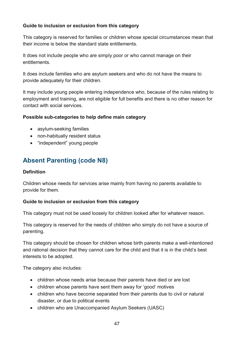This category is reserved for families or children whose special circumstances mean that their income is below the standard state entitlements.

It does not include people who are simply poor or who cannot manage on their entitlements.

It does include families who are asylum seekers and who do not have the means to provide adequately for their children.

It may include young people entering independence who, because of the rules relating to employment and training, are not eligible for full benefits and there is no other reason for contact with social services.

#### **Possible sub-categories to help define main category**

- asylum-seeking families
- non-habitually resident status
- "independent" young people

# <span id="page-46-0"></span>**Absent Parenting (code N8)**

#### **Definition**

Children whose needs for services arise mainly from having no parents available to provide for them.

#### **Guide to inclusion or exclusion from this category**

This category must not be used loosely for children looked after for whatever reason.

This category is reserved for the needs of children who simply do not have a source of parenting.

This category should be chosen for children whose birth parents make a well-intentioned and rational decision that they cannot care for the child and that it is in the child's best interests to be adopted.

The category also includes:

- children whose needs arise because their parents have died or are lost
- children whose parents have sent them away for 'good' motives
- children who have become separated from their parents due to civil or natural disaster, or due to political events
- children who are Unaccompanied Asylum Seekers (UASC)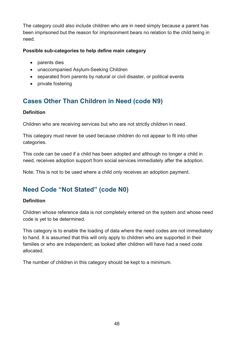The category could also include children who are in need simply because a parent has been imprisoned but the reason for imprisonment bears no relation to the child being in need.

#### **Possible sub-categories to help define main category**

- parents dies
- unaccompanied Asylum-Seeking Children
- separated from parents by natural or civil disaster, or political events
- private fostering

# <span id="page-47-0"></span>**Cases Other Than Children in Need (code N9)**

#### **Definition**

Children who are receiving services but who are not strictly children in need.

This category must never be used because children do not appear to fit into other categories.

This code can be used if a child has been adopted and although no longer a child in need, receives adoption support from social services immediately after the adoption.

Note: This is not to be used where a child only receives an adoption payment.

# <span id="page-47-1"></span>**Need Code "Not Stated" (code N0)**

#### **Definition**

Children whose reference data is not completely entered on the system and whose need code is yet to be determined.

This category is to enable the loading of data where the need codes are not immediately to hand. It is assumed that this will only apply to children who are supported in their families or who are independent; as looked after children will have had a need code allocated.

The number of children in this category should be kept to a minimum.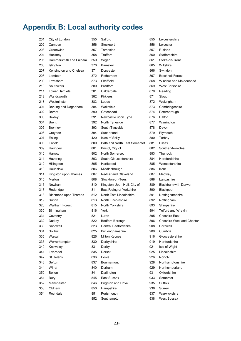# <span id="page-48-0"></span>**Appendix B: Local authority codes**

| 201 | City of London         | 355 | Salford                      | 855 | Leicestershire         |
|-----|------------------------|-----|------------------------------|-----|------------------------|
| 202 | Camden                 | 356 | Stockport                    | 856 | Leicester              |
| 203 | Greenwich              | 357 | Tameside                     | 857 | Rutland                |
| 204 | Hackney                | 358 | Trafford                     | 860 | Staffordshire          |
| 205 | Hammersmith and Fulham | 359 | Wigan                        | 861 | Stoke-on-Trent         |
| 206 | Islington              | 370 | Barnsley                     | 865 | Wiltshire              |
| 207 | Kensington and Chelsea | 371 | Doncaster                    | 866 | Swindon                |
| 208 | Lambeth                | 372 | Rotherham                    | 867 | <b>Bracknell Fores</b> |
| 209 | Lewisham               | 373 | Sheffield                    | 868 | Windsor and M          |
| 210 | Southwark              | 380 | <b>Bradford</b>              | 869 | <b>West Berkshire</b>  |
| 211 | <b>Tower Hamlets</b>   | 381 | Calderdale                   | 870 | Reading                |
| 212 | Wandsworth             | 382 | <b>Kirklees</b>              | 871 | Slough                 |
| 213 | Westminster            | 383 | Leeds                        | 872 | Wokingham              |
| 301 | Barking and Dagenham   | 384 | Wakefield                    | 873 | Cambridgeshir          |
| 302 | <b>Barnet</b>          | 390 | Gateshead                    | 874 | Peterborough           |
| 303 | Bexley                 | 391 | Newcastle upon Tyne          | 876 | Halton                 |
| 304 | <b>Brent</b>           | 392 | North Tyneside               | 877 | Warrington             |
| 305 | Bromley                | 393 | South Tyneside               | 878 | Devon                  |
| 306 | Croydon                | 394 | Sunderland                   | 879 | Plymouth               |
| 307 | Ealing                 | 420 | Isles of Scilly              | 880 | Torbay                 |
| 308 | Enfield                | 800 | Bath and North East Somerset | 881 | Essex                  |
| 309 | Haringey               | 801 | Bristol, City of             | 882 | Southend-on-S          |
| 310 | Harrow                 | 802 | North Somerset               | 883 | Thurrock               |
| 311 | Havering               | 803 | South Gloucestershire        | 884 | Herefordshire          |
| 312 | Hillingdon             | 805 | Hartlepool                   | 885 | Worcestershire         |
| 313 | Hounslow               | 806 | Middlesbrough                | 886 | Kent                   |
| 314 | Kingston upon Thames   | 807 | Redcar and Cleveland         | 887 | Medway                 |
| 315 | Merton                 | 808 | Stockton-on-Tees             | 888 | Lancashire             |
| 316 | Newham                 | 810 | Kingston Upon Hull, City of  | 889 | Blackburn with         |
| 317 | Redbridge              | 811 | East Riding of Yorkshire     | 890 | Blackpool              |
| 318 | Richmond upon Thames   | 812 | North East Lincolnshire      | 891 | Nottinghamshir         |
| 319 | Sutton                 | 813 | North Lincolnshire           | 892 | Nottingham             |
| 320 | <b>Waltham Forest</b>  | 815 | North Yorkshire              | 893 | Shropshire             |
| 330 | Birmingham             | 816 | York                         | 894 | Telford and Wr         |
| 331 | Coventry               | 821 | Luton                        | 895 | Cheshire East          |
| 332 | Dudley                 | 822 | Bedford Borough              | 896 | <b>Cheshire West</b>   |
| 333 | Sandwell               | 823 | Central Bedfordshire         | 908 | Cornwall               |
| 334 | Solihull               | 825 | Buckinghamshire              | 909 | Cumbria                |
| 335 | Walsall                | 826 | Milton Keynes                | 916 | Gloucestershire        |
| 336 | Wolverhampton          | 830 | Derbyshire                   | 919 | Hertfordshire          |
| 340 | Knowsley               | 831 | Derby                        | 921 | Isle of Wight          |
| 341 | Liverpool              | 835 | Dorset                       | 925 | Lincolnshire           |
| 342 | St Helens              | 836 | Poole                        | 926 | Norfolk                |
| 343 | Sefton                 | 837 | Bournemouth                  | 928 | Northamptonsh          |
| 344 | Wirral                 | 840 | Durham                       | 929 | Northumberlan          |
| 350 | <b>Bolton</b>          | 841 | Darlington                   | 931 | Oxfordshire            |
| 351 | <b>Bury</b>            | 845 | East Sussex                  | 933 | Somerset               |
| 352 | Manchester             | 846 | Brighton and Hove            | 935 | Suffolk                |
| 353 | Oldham                 | 850 | Hampshire                    | 936 | Surrey                 |
| 354 | Rochdale               | 851 | Portsmouth                   | 937 | Warwickshire           |
|     |                        | 852 | Southampton                  | 938 | West Sussex            |

cestershire ke-on-Trent acknell Forest ndsor and Maidenhead est Berkshire mbridgeshire terborough uthend-on-Sea ackburn with Darwen ttinghamshire Iford and Wrekin eshire West and Chester 33 bucestershire rtfordshire rthamptonshire rthumberland

est Sussex